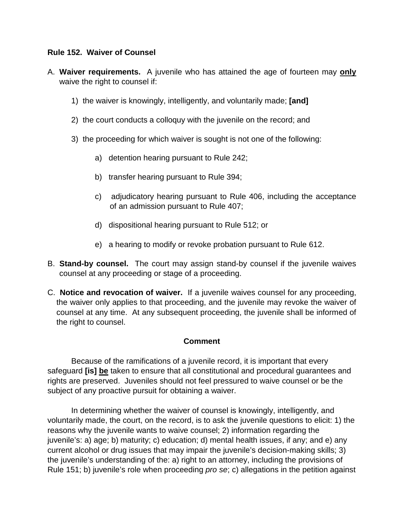## **Rule 152. Waiver of Counsel**

- A. **Waiver requirements.** A juvenile who has attained the age of fourteen may **only** waive the right to counsel if:
	- 1) the waiver is knowingly, intelligently, and voluntarily made; **[and]**
	- 2) the court conducts a colloquy with the juvenile on the record; and
	- 3) the proceeding for which waiver is sought is not one of the following:
		- a) detention hearing pursuant to Rule 242;
		- b) transfer hearing pursuant to Rule 394;
		- c) adjudicatory hearing pursuant to Rule 406, including the acceptance of an admission pursuant to Rule 407;
		- d) dispositional hearing pursuant to Rule 512; or
		- e) a hearing to modify or revoke probation pursuant to Rule 612.
- B. **Stand-by counsel.** The court may assign stand-by counsel if the juvenile waives counsel at any proceeding or stage of a proceeding.
- C. **Notice and revocation of waiver.** If a juvenile waives counsel for any proceeding, the waiver only applies to that proceeding, and the juvenile may revoke the waiver of counsel at any time. At any subsequent proceeding, the juvenile shall be informed of the right to counsel.

## **Comment**

 Because of the ramifications of a juvenile record, it is important that every safeguard **[is] be** taken to ensure that all constitutional and procedural guarantees and rights are preserved. Juveniles should not feel pressured to waive counsel or be the subject of any proactive pursuit for obtaining a waiver.

 In determining whether the waiver of counsel is knowingly, intelligently, and voluntarily made, the court, on the record, is to ask the juvenile questions to elicit: 1) the reasons why the juvenile wants to waive counsel; 2) information regarding the juvenile's: a) age; b) maturity; c) education; d) mental health issues, if any; and e) any current alcohol or drug issues that may impair the juvenile's decision-making skills; 3) the juvenile's understanding of the: a) right to an attorney, including the provisions of Rule 151; b) juvenile's role when proceeding *pro se*; c) allegations in the petition against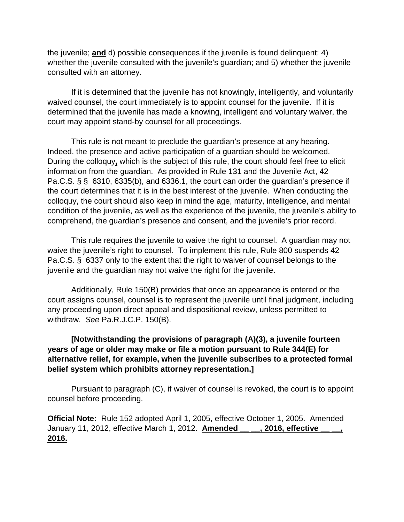the juvenile; **and** d) possible consequences if the juvenile is found delinquent; 4) whether the juvenile consulted with the juvenile's guardian; and 5) whether the juvenile consulted with an attorney.

 If it is determined that the juvenile has not knowingly, intelligently, and voluntarily waived counsel, the court immediately is to appoint counsel for the juvenile. If it is determined that the juvenile has made a knowing, intelligent and voluntary waiver, the court may appoint stand-by counsel for all proceedings.

 This rule is not meant to preclude the guardian's presence at any hearing. Indeed, the presence and active participation of a guardian should be welcomed. During the colloquy**,** which is the subject of this rule, the court should feel free to elicit information from the guardian. As provided in Rule 131 and the Juvenile Act, 42 Pa.C.S. § § 6310, 6335(b), and 6336.1, the court can order the guardian's presence if the court determines that it is in the best interest of the juvenile. When conducting the colloquy, the court should also keep in mind the age, maturity, intelligence, and mental condition of the juvenile, as well as the experience of the juvenile, the juvenile's ability to comprehend, the guardian's presence and consent, and the juvenile's prior record.

 This rule requires the juvenile to waive the right to counsel. A guardian may not waive the juvenile's right to counsel. To implement this rule, Rule 800 suspends 42 Pa.C.S. § 6337 only to the extent that the right to waiver of counsel belongs to the juvenile and the guardian may not waive the right for the juvenile.

 Additionally, Rule 150(B) provides that once an appearance is entered or the court assigns counsel, counsel is to represent the juvenile until final judgment, including any proceeding upon direct appeal and dispositional review, unless permitted to withdraw. *See* Pa.R.J.C.P. 150(B).

## **[Notwithstanding the provisions of paragraph (A)(3), a juvenile fourteen years of age or older may make or file a motion pursuant to Rule 344(E) for alternative relief, for example, when the juvenile subscribes to a protected formal belief system which prohibits attorney representation.]**

 Pursuant to paragraph (C), if waiver of counsel is revoked, the court is to appoint counsel before proceeding.

**Official Note:** Rule 152 adopted April 1, 2005, effective October 1, 2005. Amended January 11, 2012, effective March 1, 2012. **Amended \_\_ \_\_, 2016, effective \_\_ \_\_, 2016.**